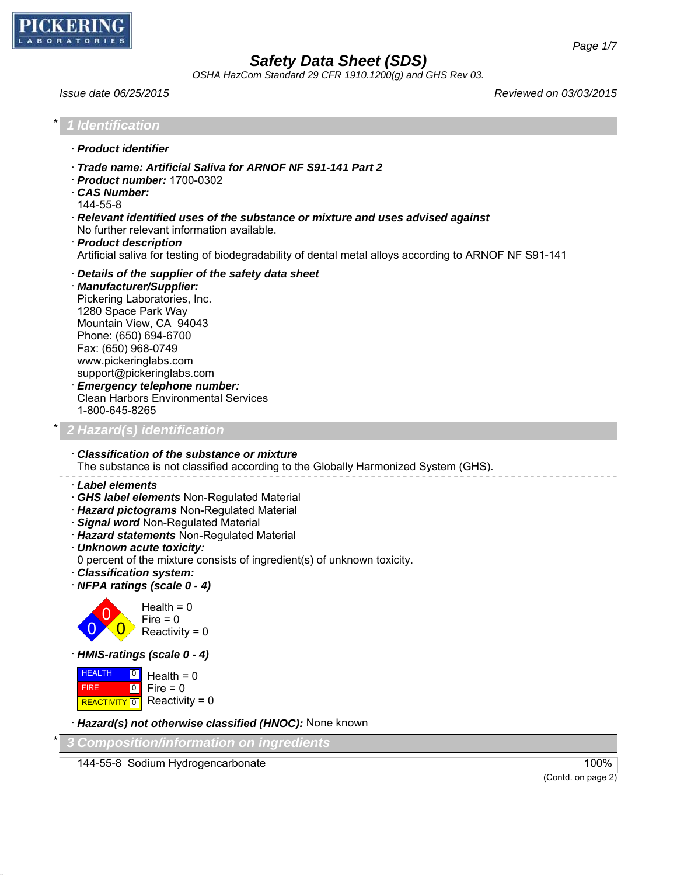

*OSHA HazCom Standard 29 CFR 1910.1200(g) and GHS Rev 03.*

*Issue date 06/25/2015 Reviewed on 03/03/2015*

| 1 Identification                                                                                                                                                                                                                                                                                                                                                                                     |
|------------------------------------------------------------------------------------------------------------------------------------------------------------------------------------------------------------------------------------------------------------------------------------------------------------------------------------------------------------------------------------------------------|
| · Product identifier                                                                                                                                                                                                                                                                                                                                                                                 |
| Trade name: Artificial Saliva for ARNOF NF S91-141 Part 2<br>$\cdot$ Product number: 1700-0302<br><b>CAS Number:</b><br>144-55-8<br>· Relevant identified uses of the substance or mixture and uses advised against<br>No further relevant information available.<br>· Product description<br>Artificial saliva for testing of biodegradability of dental metal alloys according to ARNOF NF S91-141 |
| Details of the supplier of the safety data sheet<br>· Manufacturer/Supplier:<br>Pickering Laboratories, Inc.<br>1280 Space Park Way<br>Mountain View, CA 94043<br>Phone: (650) 694-6700<br>Fax: (650) 968-0749<br>www.pickeringlabs.com<br>support@pickeringlabs.com<br><b>Emergency telephone number:</b><br>Clean Harbors Environmental Services<br>1-800-645-8265                                 |
| 2 Hazard(s) identification                                                                                                                                                                                                                                                                                                                                                                           |
| Classification of the substance or mixture<br>The substance is not classified according to the Globally Harmonized System (GHS).                                                                                                                                                                                                                                                                     |
| · Label elements<br>GHS label elements Non-Regulated Material<br>Hazard pictograms Non-Regulated Material<br>· Signal word Non-Regulated Material<br>· Hazard statements Non-Regulated Material<br>· Unknown acute toxicity:<br>0 percent of the mixture consists of ingredient(s) of unknown toxicity.<br>· Classification system:<br>· NFPA ratings (scale 0 - 4)                                  |
| $Health = 0$<br>$Fire = 0$<br>Reactivity = $0$                                                                                                                                                                                                                                                                                                                                                       |
| HMIS-ratings (scale 0 - 4)                                                                                                                                                                                                                                                                                                                                                                           |
| <b>HEALTH</b><br> 0 <br>Health = $0$<br>$Fire = 0$<br><b>FIRE</b><br> 0 <br>Reactivity = $0$<br>REACTIVITY<br> 0                                                                                                                                                                                                                                                                                     |
| Hazard(s) not otherwise classified (HNOC): None known                                                                                                                                                                                                                                                                                                                                                |

\* *3 Composition/information on ingredients*

144-55-8 Sodium Hydrogencarbonate 100%

(Contd. on page 2)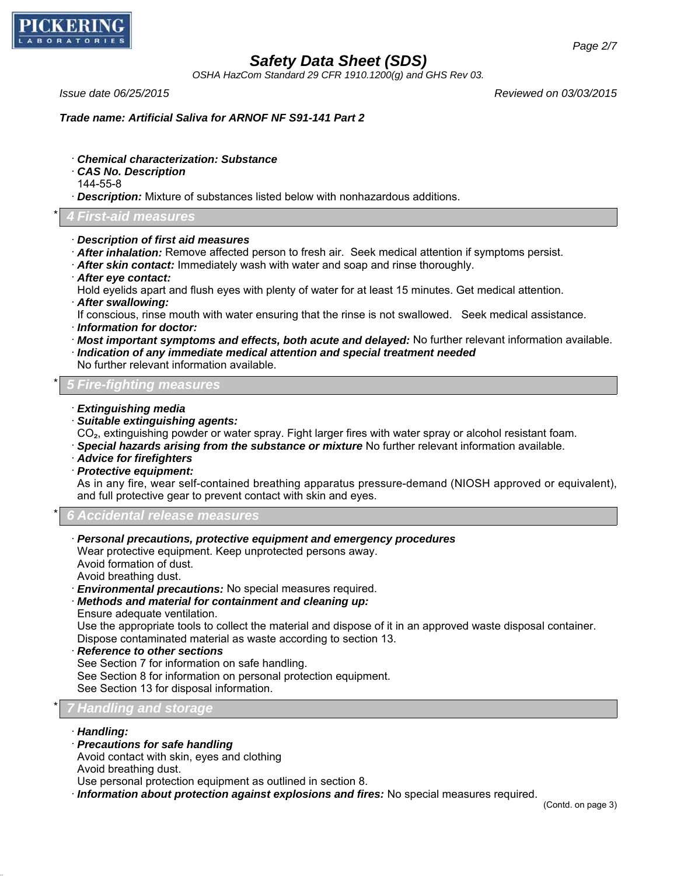

*OSHA HazCom Standard 29 CFR 1910.1200(g) and GHS Rev 03.*

*Issue date 06/25/2015 Reviewed on 03/03/2015*

*Trade name: Artificial Saliva for ARNOF NF S91-141 Part 2*

- · *Chemical characterization: Substance*
- · *CAS No. Description*
- 144-55-8
- · *Description:* Mixture of substances listed below with nonhazardous additions.

## \* *4 First-aid measures*

- · *Description of first aid measures*
- · *After inhalation:* Remove affected person to fresh air. Seek medical attention if symptoms persist.
- · *After skin contact:* Immediately wash with water and soap and rinse thoroughly.
- · *After eye contact:*
- Hold eyelids apart and flush eyes with plenty of water for at least 15 minutes. Get medical attention.
- · *After swallowing:*
- If conscious, rinse mouth with water ensuring that the rinse is not swallowed. Seek medical assistance.
- · *Information for doctor:*
- · *Most important symptoms and effects, both acute and delayed:* No further relevant information available.
- · *Indication of any immediate medical attention and special treatment needed*
- No further relevant information available.

### \* *5 Fire-fighting measures*

- · *Extinguishing media*
- · *Suitable extinguishing agents:*
- CO₂, extinguishing powder or water spray. Fight larger fires with water spray or alcohol resistant foam.
- · *Special hazards arising from the substance or mixture* No further relevant information available.
- · *Advice for firefighters*
- · *Protective equipment:*

As in any fire, wear self-contained breathing apparatus pressure-demand (NIOSH approved or equivalent), and full protective gear to prevent contact with skin and eyes.

\* *6 Accidental release measures*

#### · *Personal precautions, protective equipment and emergency procedures*

Wear protective equipment. Keep unprotected persons away. Avoid formation of dust.

Avoid breathing dust.

- · *Environmental precautions:* No special measures required.
- · *Methods and material for containment and cleaning up:*
- Ensure adequate ventilation.

Use the appropriate tools to collect the material and dispose of it in an approved waste disposal container. Dispose contaminated material as waste according to section 13.

· *Reference to other sections*

See Section 7 for information on safe handling.

See Section 8 for information on personal protection equipment.

See Section 13 for disposal information.

## \* *7 Handling and storage*

- · *Handling:*
- · *Precautions for safe handling*
- Avoid contact with skin, eyes and clothing
- Avoid breathing dust.

Use personal protection equipment as outlined in section 8.

· *Information about protection against explosions and fires:* No special measures required.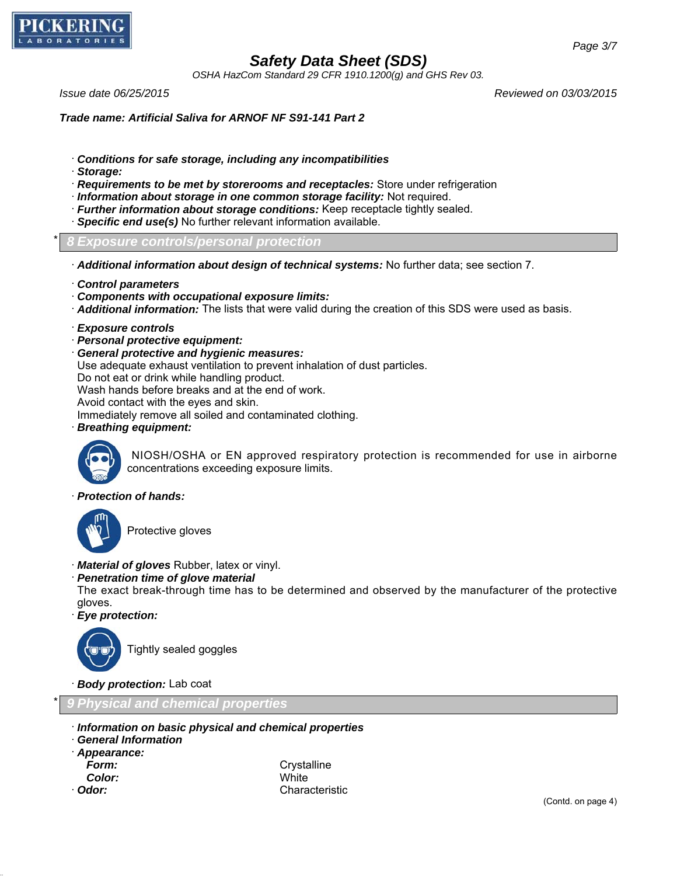

*OSHA HazCom Standard 29 CFR 1910.1200(g) and GHS Rev 03.*

*Issue date 06/25/2015 Reviewed on 03/03/2015*

*Page 3/7*

*Trade name: Artificial Saliva for ARNOF NF S91-141 Part 2*

- · *Conditions for safe storage, including any incompatibilities*
- · *Storage:*
- · *Requirements to be met by storerooms and receptacles:* Store under refrigeration
- · *Information about storage in one common storage facility:* Not required.
- · *Further information about storage conditions:* Keep receptacle tightly sealed.
- · *Specific end use(s)* No further relevant information available.

\* *8 Exposure controls/personal protection*

- · *Additional information about design of technical systems:* No further data; see section 7.
- · *Control parameters*
- · *Components with occupational exposure limits:*
- · *Additional information:* The lists that were valid during the creation of this SDS were used as basis.
- · *Exposure controls*
- · *Personal protective equipment:*
- · *General protective and hygienic measures:*

Use adequate exhaust ventilation to prevent inhalation of dust particles.

Do not eat or drink while handling product.

Wash hands before breaks and at the end of work.

Avoid contact with the eyes and skin.

Immediately remove all soiled and contaminated clothing.

· *Breathing equipment:*



 NIOSH/OSHA or EN approved respiratory protection is recommended for use in airborne concentrations exceeding exposure limits.

#### · *Protection of hands:*



Protective gloves

- · *Material of gloves* Rubber, latex or vinyl.
- · *Penetration time of glove material*

The exact break-through time has to be determined and observed by the manufacturer of the protective gloves.

· *Eye protection:*



Tightly sealed goggles

· *Body protection:* Lab coat

\* *9 Physical and chemical properties*

- · *Information on basic physical and chemical properties*
- · *General Information*
- · *Appearance:*
- 
- *Color:* White

**Form:** Crystalline · *Odor:* Characteristic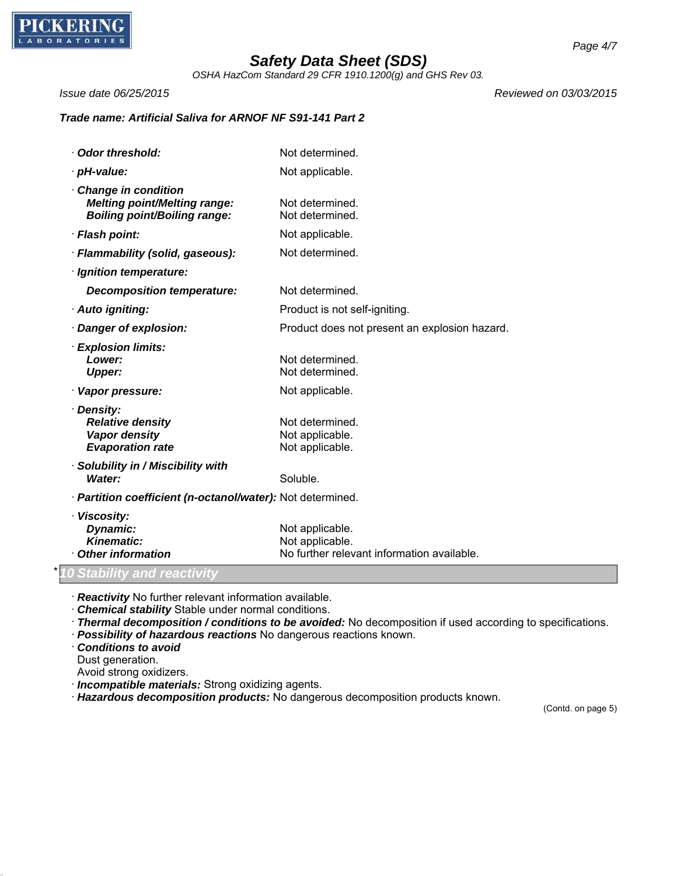

*OSHA HazCom Standard 29 CFR 1910.1200(g) and GHS Rev 03.*

*Issue date 06/25/2015 Reviewed on 03/03/2015*

## *Trade name: Artificial Saliva for ARNOF NF S91-141 Part 2*

| Odor threshold:                                                                                   | Not determined.                                                                  |
|---------------------------------------------------------------------------------------------------|----------------------------------------------------------------------------------|
| · pH-value:                                                                                       | Not applicable.                                                                  |
| Change in condition<br><b>Melting point/Melting range:</b><br><b>Boiling point/Boiling range:</b> | Not determined.<br>Not determined.                                               |
| · Flash point:                                                                                    | Not applicable.                                                                  |
| · Flammability (solid, gaseous):                                                                  | Not determined.                                                                  |
| · Ignition temperature:                                                                           |                                                                                  |
| <b>Decomposition temperature:</b>                                                                 | Not determined.                                                                  |
| · Auto igniting:                                                                                  | Product is not self-igniting.                                                    |
| · Danger of explosion:                                                                            | Product does not present an explosion hazard.                                    |
| · Explosion limits:<br>Lower:<br><b>Upper:</b>                                                    | Not determined.<br>Not determined.                                               |
| · Vapor pressure:                                                                                 | Not applicable.                                                                  |
| · Density:<br><b>Relative density</b><br>Vapor density<br><b>Evaporation rate</b>                 | Not determined.<br>Not applicable.<br>Not applicable.                            |
| · Solubility in / Miscibility with<br>Water:                                                      | Soluble.                                                                         |
| · Partition coefficient (n-octanol/water): Not determined.                                        |                                                                                  |
| · Viscosity:<br>Dynamic:<br><b>Kinematic:</b><br>Other information                                | Not applicable.<br>Not applicable.<br>No further relevant information available. |
| 10 Stability and reactivity                                                                       |                                                                                  |

· *Reactivity* No further relevant information available.

- · *Chemical stability* Stable under normal conditions.
- · *Thermal decomposition / conditions to be avoided:* No decomposition if used according to specifications.
- · *Possibility of hazardous reactions* No dangerous reactions known.
- · *Conditions to avoid*
- Dust generation.
- Avoid strong oxidizers.
- · *Incompatible materials:* Strong oxidizing agents.
- · *Hazardous decomposition products:* No dangerous decomposition products known.

(Contd. on page 5)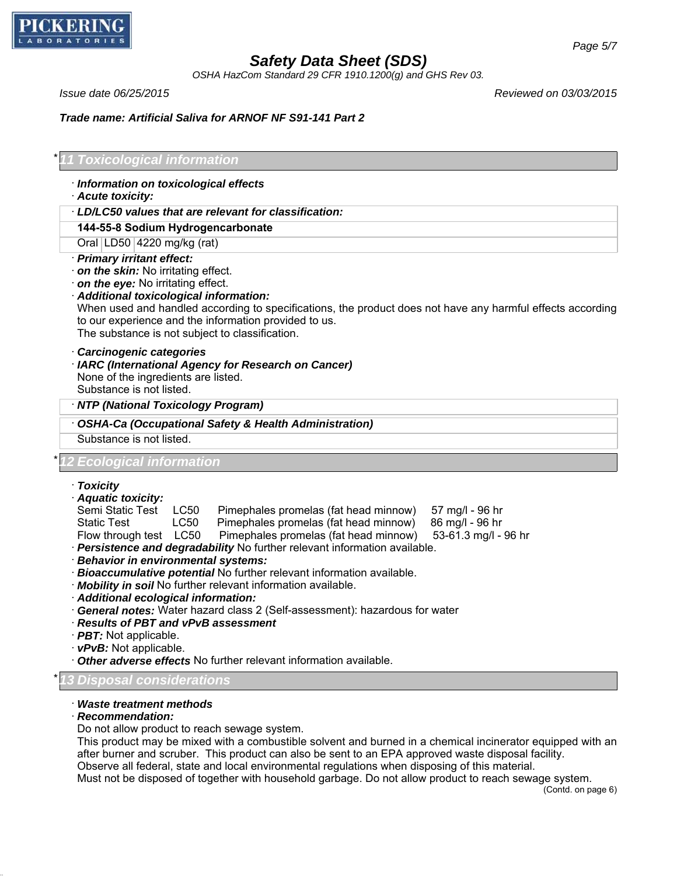

*OSHA HazCom Standard 29 CFR 1910.1200(g) and GHS Rev 03.*

*Issue date 06/25/2015 Reviewed on 03/03/2015*

*Trade name: Artificial Saliva for ARNOF NF S91-141 Part 2*

## \* *11 Toxicological information*

- · *Information on toxicological effects*
- · *Acute toxicity:*
- · *LD/LC50 values that are relevant for classification:*

#### **144-55-8 Sodium Hydrogencarbonate**

Oral LD50 4220 mg/kg (rat)

- · *Primary irritant effect:*
- · *on the skin:* No irritating effect.
- · *on the eye:* No irritating effect.
- · *Additional toxicological information:*

When used and handled according to specifications, the product does not have any harmful effects according to our experience and the information provided to us. The substance is not subject to classification.

- · *Carcinogenic categories*
- · *IARC (International Agency for Research on Cancer)*

None of the ingredients are listed.

Substance is not listed.

#### · *NTP (National Toxicology Program)*

· *OSHA-Ca (Occupational Safety & Health Administration)*

Substance is not listed.

### *<u>Ecological</u> information*

- · *Toxicity*
- · *Aquatic toxicity:*

Semi Static Test LC50 Pimephales promelas (fat head minnow) 57 mg/l - 96 hr

- 
- Static Test LC50 Pimephales promelas (fat head minnow) 86 mg/l 96 hr<br>Flow through test LC50 Pimephales promelas (fat head minnow) 53-61.3 mg/l 96 hr Flow through test LC50 Pimephales promelas (fat head minnow)
- · *Persistence and degradability* No further relevant information available.
- · *Behavior in environmental systems:*
- · *Bioaccumulative potential* No further relevant information available.
- · *Mobility in soil* No further relevant information available.
- · *Additional ecological information:*
- · *General notes:* Water hazard class 2 (Self-assessment): hazardous for water
- · *Results of PBT and vPvB assessment*
- · *PBT:* Not applicable.
- · *vPvB:* Not applicable.
- · *Other adverse effects* No further relevant information available.

#### \* *13 Disposal considerations*

#### · *Waste treatment methods*

· *Recommendation:*

Do not allow product to reach sewage system.

This product may be mixed with a combustible solvent and burned in a chemical incinerator equipped with an after burner and scruber. This product can also be sent to an EPA approved waste disposal facility. Observe all federal, state and local environmental regulations when disposing of this material.

Must not be disposed of together with household garbage. Do not allow product to reach sewage system.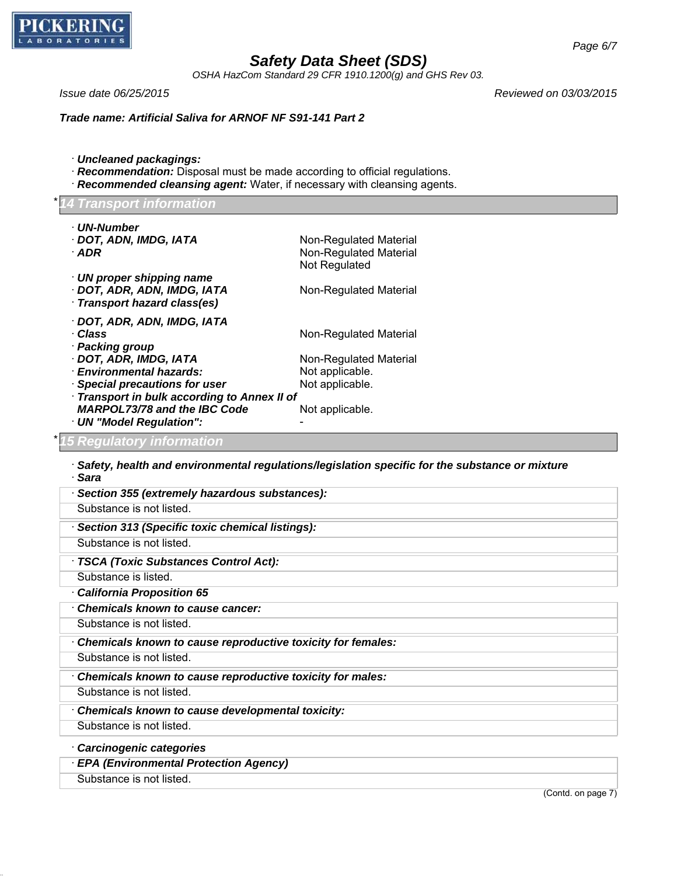

*OSHA HazCom Standard 29 CFR 1910.1200(g) and GHS Rev 03.*

*Issue date 06/25/2015 Reviewed on 03/03/2015*

*Trade name: Artificial Saliva for ARNOF NF S91-141 Part 2*

- · *Uncleaned packagings:*
- · *Recommendation:* Disposal must be made according to official regulations.
- · *Recommended cleansing agent:* Water, if necessary with cleansing agents.

## *ransport information*

| · UN-Number<br>· DOT, ADN, IMDG, IATA<br>$\cdot$ ADR                                           | Non-Regulated Material<br>Non-Regulated Material<br>Not Regulated |
|------------------------------------------------------------------------------------------------|-------------------------------------------------------------------|
| $\cdot$ UN proper shipping name<br>· DOT, ADR, ADN, IMDG, IATA<br>· Transport hazard class(es) | Non-Regulated Material                                            |
| · DOT, ADR, ADN, IMDG, IATA<br>· Class<br>· Packing group                                      | Non-Regulated Material                                            |
| · DOT, ADR, IMDG, IATA                                                                         | Non-Regulated Material                                            |
| · Environmental hazards:                                                                       | Not applicable.                                                   |
| · Special precautions for user                                                                 | Not applicable.                                                   |
| · Transport in bulk according to Annex II of                                                   |                                                                   |
| <b>MARPOL73/78 and the IBC Code</b>                                                            | Not applicable.                                                   |
| · UN "Model Regulation":                                                                       |                                                                   |
| 5 Daqulatary information                                                                       |                                                                   |

## \* *15 Regulatory information*

· *Safety, health and environmental regulations/legislation specific for the substance or mixture* · *Sara*

| Section 355 (extremely hazardous substances):               |
|-------------------------------------------------------------|
| Substance is not listed.                                    |
| Section 313 (Specific toxic chemical listings):             |
| Substance is not listed.                                    |
| · TSCA (Toxic Substances Control Act):                      |
| Substance is listed.                                        |
| California Proposition 65                                   |
| <b>Chemicals known to cause cancer:</b>                     |
| Substance is not listed.                                    |
| Chemicals known to cause reproductive toxicity for females: |
| Substance is not listed.                                    |
| Chemicals known to cause reproductive toxicity for males:   |
| Substance is not listed.                                    |
| Chemicals known to cause developmental toxicity:            |
| Substance is not listed.                                    |
| Carcinogenic categories                                     |
| <b>EPA (Environmental Protection Agency)</b>                |
| Substance is not listed.                                    |

(Contd. on page 7)